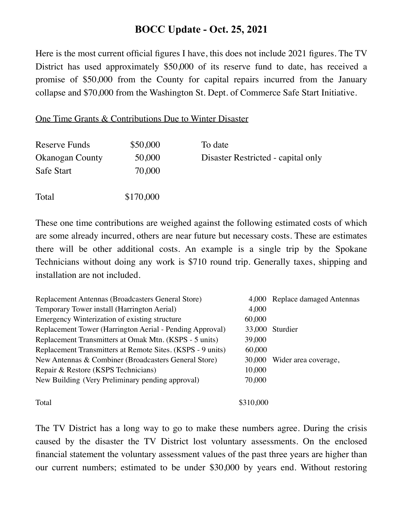## **BOCC Update - Oct. 25, 2021**

Here is the most current official figures I have, this does not include 2021 figures. The TV District has used approximately \$50,000 of its reserve fund to date, has received a promise of \$50,000 from the County for capital repairs incurred from the January collapse and \$70,000 from the Washington St. Dept. of Commerce Safe Start Initiative.

## One Time Grants & Contributions Due to Winter Disaster

| Reserve Funds          | \$50,000  | To date                            |
|------------------------|-----------|------------------------------------|
| <b>Okanogan County</b> | 50,000    | Disaster Restricted - capital only |
| Safe Start             | 70,000    |                                    |
| Total                  | \$170,000 |                                    |

These one time contributions are weighed against the following estimated costs of which are some already incurred, others are near future but necessary costs. These are estimates there will be other additional costs. An example is a single trip by the Spokane Technicians without doing any work is \$710 round trip. Generally taxes, shipping and installation are not included.

| Replacement Antennas (Broadcasters General Store)          |           | 4,000 Replace damaged Antennas |
|------------------------------------------------------------|-----------|--------------------------------|
| Temporary Tower install (Harrington Aerial)                | 4,000     |                                |
| Emergency Winterization of existing structure              | 60,000    |                                |
| Replacement Tower (Harrington Aerial - Pending Approval)   |           | 33,000 Sturdier                |
| Replacement Transmitters at Omak Mtn. (KSPS - 5 units)     | 39,000    |                                |
| Replacement Transmitters at Remote Sites. (KSPS - 9 units) | 60,000    |                                |
| New Antennas & Combiner (Broadcasters General Store)       | 30,000    | Wider area coverage,           |
| Repair & Restore (KSPS Technicians)                        | 10,000    |                                |
| New Building (Very Preliminary pending approval)           | 70,000    |                                |
| Total                                                      | \$310,000 |                                |

The TV District has a long way to go to make these numbers agree. During the crisis caused by the disaster the TV District lost voluntary assessments. On the enclosed financial statement the voluntary assessment values of the past three years are higher than our current numbers; estimated to be under \$30,000 by years end. Without restoring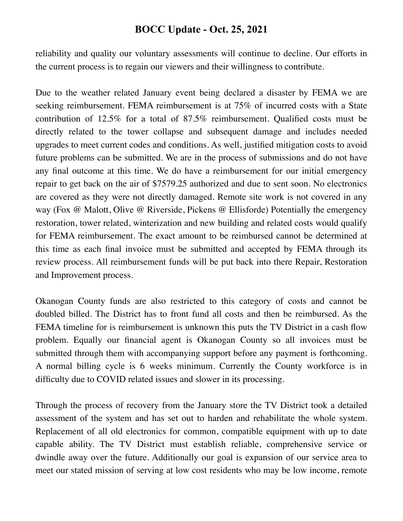## **BOCC Update - Oct. 25, 2021**

reliability and quality our voluntary assessments will continue to decline. Our efforts in the current process is to regain our viewers and their willingness to contribute.

Due to the weather related January event being declared a disaster by FEMA we are seeking reimbursement. FEMA reimbursement is at 75% of incurred costs with a State contribution of 12.5% for a total of 87.5% reimbursement. Qualified costs must be directly related to the tower collapse and subsequent damage and includes needed upgrades to meet current codes and conditions. As well, justified mitigation costs to avoid future problems can be submitted. We are in the process of submissions and do not have any final outcome at this time. We do have a reimbursement for our initial emergency repair to get back on the air of \$7579.25 authorized and due to sent soon. No electronics are covered as they were not directly damaged. Remote site work is not covered in any way (Fox @ Malott, Olive @ Riverside, Pickens @ Ellisforde) Potentially the emergency restoration, tower related, winterization and new building and related costs would qualify for FEMA reimbursement. The exact amount to be reimbursed cannot be determined at this time as each final invoice must be submitted and accepted by FEMA through its review process. All reimbursement funds will be put back into there Repair, Restoration and Improvement process.

Okanogan County funds are also restricted to this category of costs and cannot be doubled billed. The District has to front fund all costs and then be reimbursed. As the FEMA timeline for is reimbursement is unknown this puts the TV District in a cash flow problem. Equally our financial agent is Okanogan County so all invoices must be submitted through them with accompanying support before any payment is forthcoming. A normal billing cycle is 6 weeks minimum. Currently the County workforce is in difficulty due to COVID related issues and slower in its processing.

Through the process of recovery from the January store the TV District took a detailed assessment of the system and has set out to harden and rehabilitate the whole system. Replacement of all old electronics for common, compatible equipment with up to date capable ability. The TV District must establish reliable, comprehensive service or dwindle away over the future. Additionally our goal is expansion of our service area to meet our stated mission of serving at low cost residents who may be low income, remote